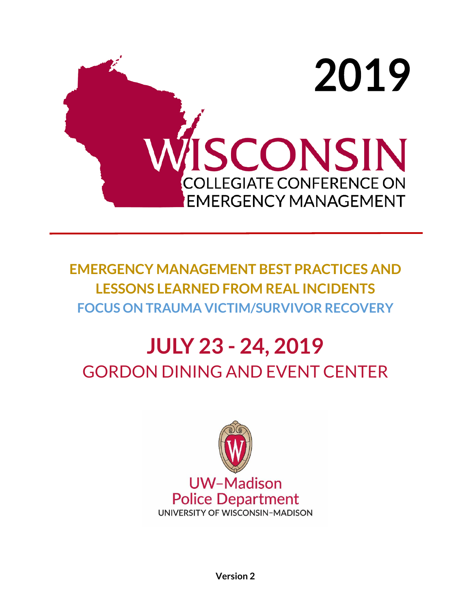

**EMERGENCY MANAGEMENT BEST PRACTICES AND LESSONS LEARNED FROM REAL INCIDENTS FOCUS ON TRAUMA VICTIM/SURVIVOR RECOVERY**

# **JULY 23 - 24, 2019** GORDON DINING AND EVENT CENTER



**Version 2**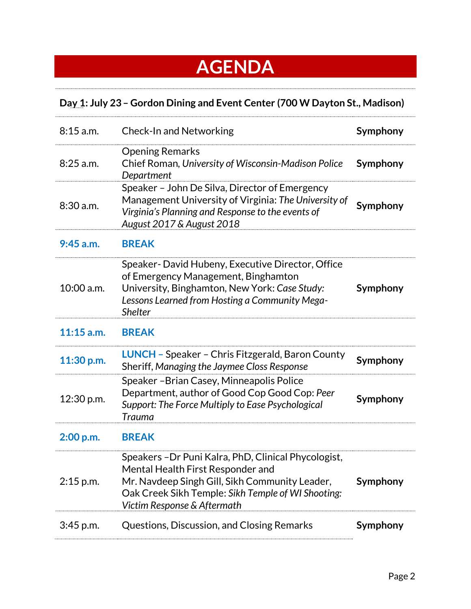### **AGENDA**

### **Day 1: July 23– Gordon Dining and Event Center (700 W Dayton St., Madison)**

| $8:15$ a.m.  | <b>Check-In and Networking</b>                                                                                                                                                                                                   | Symphony |
|--------------|----------------------------------------------------------------------------------------------------------------------------------------------------------------------------------------------------------------------------------|----------|
| $8:25$ a.m.  | <b>Opening Remarks</b><br>Chief Roman, University of Wisconsin-Madison Police<br>Department                                                                                                                                      | Symphony |
| $8:30$ a.m.  | Speaker - John De Silva, Director of Emergency<br>Management University of Virginia: The University of<br>Virginia's Planning and Response to the events of<br>August 2017 & August 2018                                         | Symphony |
| $9:45$ a.m.  | <b>BREAK</b>                                                                                                                                                                                                                     |          |
| $10:00$ a.m. | Speaker-David Hubeny, Executive Director, Office<br>of Emergency Management, Binghamton<br>University, Binghamton, New York: Case Study:<br>Lessons Learned from Hosting a Community Mega-<br><b>Shelter</b>                     | Symphony |
| $11:15$ a.m. | <b>BREAK</b>                                                                                                                                                                                                                     |          |
| 11:30 p.m.   | <b>LUNCH</b> - Speaker - Chris Fitzgerald, Baron County<br>Sheriff, Managing the Jaymee Closs Response                                                                                                                           | Symphony |
| 12:30 p.m.   | Speaker - Brian Casey, Minneapolis Police<br>Department, author of Good Cop Good Cop: Peer<br>Support: The Force Multiply to Ease Psychological<br>Trauma                                                                        | Symphony |
| 2:00 p.m.    | <b>BREAK</b>                                                                                                                                                                                                                     |          |
| $2:15$ p.m.  | Speakers - Dr Puni Kalra, PhD, Clinical Phycologist,<br>Mental Health First Responder and<br>Mr. Navdeep Singh Gill, Sikh Community Leader,<br>Oak Creek Sikh Temple: Sikh Temple of WI Shooting:<br>Victim Response & Aftermath | Symphony |
| $3:45$ p.m.  | Questions, Discussion, and Closing Remarks                                                                                                                                                                                       | Symphony |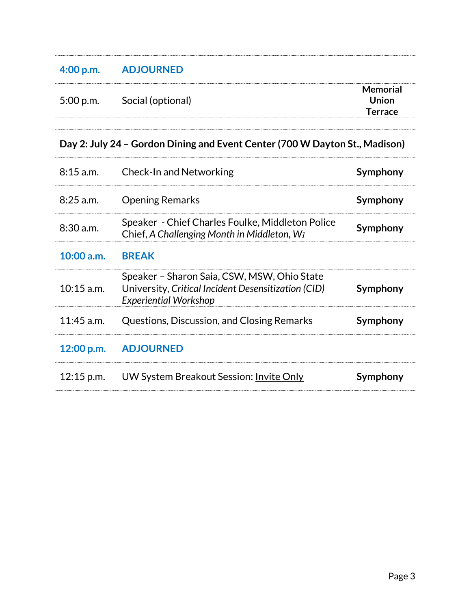| 4:00 p.m.                                                                   | <b>ADJOURNED</b>                                                                                                                   |                                                   |  |
|-----------------------------------------------------------------------------|------------------------------------------------------------------------------------------------------------------------------------|---------------------------------------------------|--|
| $5:00$ p.m.                                                                 | Social (optional)                                                                                                                  | <b>Memorial</b><br><b>Union</b><br><b>Terrace</b> |  |
| Day 2: July 24 - Gordon Dining and Event Center (700 W Dayton St., Madison) |                                                                                                                                    |                                                   |  |
| $8:15$ a.m.                                                                 | <b>Check-In and Networking</b>                                                                                                     | Symphony                                          |  |
| 8:25 a.m.                                                                   | <b>Opening Remarks</b>                                                                                                             | Symphony                                          |  |
| $8:30$ a.m.                                                                 | Speaker - Chief Charles Foulke, Middleton Police<br>Chief, A Challenging Month in Middleton, WI                                    | Symphony                                          |  |
| $10:00$ a.m.                                                                | <b>BREAK</b>                                                                                                                       |                                                   |  |
| $10:15$ a.m.                                                                | Speaker - Sharon Saia, CSW, MSW, Ohio State<br>University, Critical Incident Desensitization (CID)<br><b>Experiential Workshop</b> | Symphony                                          |  |
| $11:45$ a.m.                                                                | Questions, Discussion, and Closing Remarks                                                                                         | Symphony                                          |  |
| 12:00 p.m.                                                                  | <b>ADJOURNED</b>                                                                                                                   |                                                   |  |
| $12:15$ p.m.                                                                | UW System Breakout Session: Invite Only                                                                                            | Symphony                                          |  |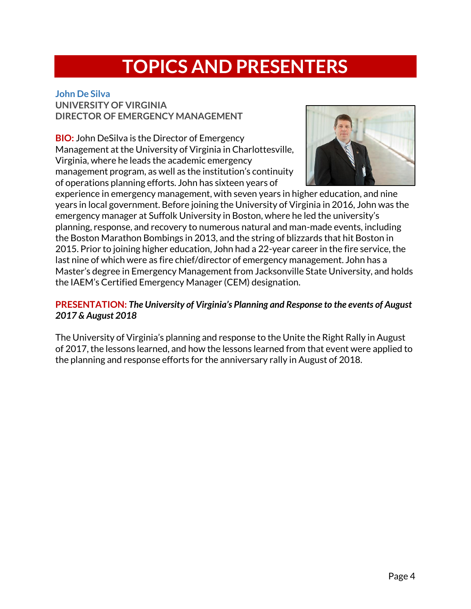## **TOPICS AND PRESENTERS**

**John De Silva UNIVERSITY OF VIRGINIA DIRECTOR OF EMERGENCY MANAGEMENT**

**BIO:** John DeSilva is the Director of Emergency Management at the University of Virginia in Charlottesville, Virginia, where he leads the academic emergency management program, as well as the institution's continuity of operations planning efforts. John has sixteen years of



experience in emergency management, with seven years in higher education, and nine years in local government. Before joining the University of Virginia in 2016, John was the emergency manager at Suffolk University in Boston, where he led the university's planning, response, and recovery to numerous natural and man-made events, including the Boston Marathon Bombings in 2013, and the string of blizzards that hit Boston in 2015. Prior to joining higher education, John had a 22-year career in the fire service, the last nine of which were as fire chief/director of emergency management. John has a Master's degree in Emergency Management from Jacksonville State University, and holds the IAEM's Certified Emergency Manager (CEM) designation.

#### **PRESENTATION:** *The University of Virginia's Planning and Response to the events of August 2017 & August 2018*

The University of Virginia's planning and response to the Unite the Right Rally in August of 2017, the lessons learned, and how the lessons learned from that event were applied to the planning and response efforts for the anniversary rally in August of 2018.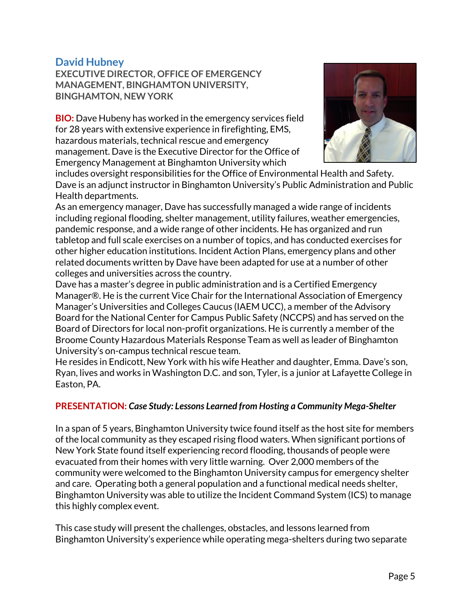#### **David Hubney**

**EXECUTIVE DIRECTOR, OFFICE OF EMERGENCY MANAGEMENT, BINGHAMTON UNIVERSITY, BINGHAMTON, NEW YORK**

**BIO:** Dave Hubeny has worked in the emergency services field for 28 years with extensive experience in firefighting, EMS, hazardous materials, technical rescue and emergency management. Dave is the Executive Director for the Office of Emergency Management at Binghamton University which



includes oversight responsibilities for the Office of Environmental Health and Safety. Dave is an adjunct instructor in Binghamton University's Public Administration and Public Health departments.

As an emergency manager, Dave has successfully managed a wide range of incidents including regional flooding, shelter management, utility failures, weather emergencies, pandemic response, and a wide range of other incidents. He has organized and run tabletop and full scale exercises on a number of topics, and has conducted exercises for other higher education institutions. Incident Action Plans, emergency plans and other related documents written by Dave have been adapted for use at a number of other colleges and universities across the country.

Dave has a master's degree in public administration and is a Certified Emergency Manager®. He is the current Vice Chair for the International Association of Emergency Manager's Universities and Colleges Caucus (IAEM UCC), a member of the Advisory Board for the National Center for Campus Public Safety (NCCPS) and has served on the Board of Directors for local non-profit organizations. He is currently a member of the Broome County Hazardous Materials Response Team as well as leader of Binghamton University's on-campus technical rescue team.

He resides in Endicott, New York with his wife Heather and daughter, Emma. Dave's son, Ryan, lives and works in Washington D.C. and son, Tyler, is a junior at Lafayette College in Easton, PA.

#### **PRESENTATION:** *Case Study: Lessons Learned from Hosting a Community Mega-Shelter*

In a span of 5 years, Binghamton University twice found itself as the host site for members of the local community as they escaped rising flood waters. When significant portions of New York State found itself experiencing record flooding, thousands of people were evacuated from their homes with very little warning. Over 2,000 members of the community were welcomed to the Binghamton University campus for emergency shelter and care. Operating both a general population and a functional medical needs shelter, Binghamton University was able to utilize the Incident Command System (ICS) to manage this highly complex event.

This case study will present the challenges, obstacles, and lessons learned from Binghamton University's experience while operating mega-shelters during two separate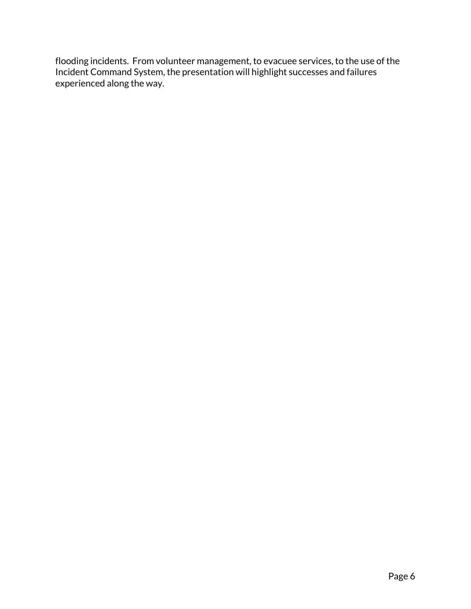flooding incidents. From volunteer management, to evacuee services, to the use of the Incident Command System, the presentation will highlight successes and failures experienced along the way.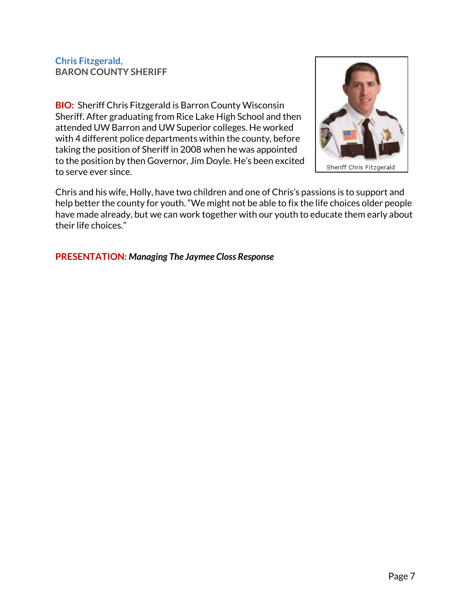#### **Chris Fitzgerald, BARON COUNTY SHERIFF**

**BIO:** Sheriff Chris Fitzgerald is Barron County Wisconsin Sheriff. After graduating from Rice Lake High School and then attended UW Barron and UW Superior colleges. He worked with 4 different police departments within the county, before taking the position of Sheriff in 2008 when he was appointed to the position by then Governor, Jim Doyle. He's been excited to serve ever since.



Chris and his wife, Holly, have two children and one of Chris's passions is to support and help better the county for youth. "We might not be able to fix the life choices older people have made already, but we can work together with our youth to educate them early about their life choices."

#### **PRESENTATION:** *Managing The Jaymee Closs Response*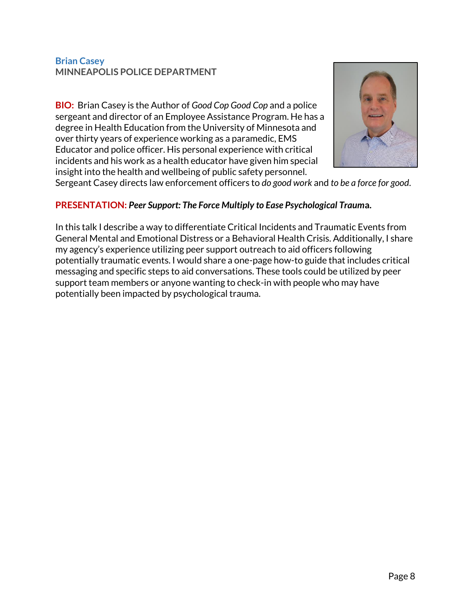#### **Brian Casey MINNEAPOLIS POLICE DEPARTMENT**

**BIO:** Brian Casey is the Author of *Good Cop Good Cop* and a police sergeant and director of an Employee Assistance Program. He has a degree in Health Education from the University of Minnesota and over thirty years of experience working as a paramedic, EMS Educator and police officer. His personal experience with critical incidents and his work as a health educator have given him special insight into the health and wellbeing of public safety personnel.



Sergeant Casey directs law enforcement officers to *do good work* and *to be a force for good*.

#### **PRESENTATION:** *Peer Support: The Force Multiply to Ease Psychological Traum***a.**

In this talk I describe a way to differentiate Critical Incidents and Traumatic Events from General Mental and Emotional Distress or a Behavioral Health Crisis. Additionally, I share my agency's experience utilizing peer support outreach to aid officers following potentially traumatic events. I would share a one-page how-to guide that includes critical messaging and specific steps to aid conversations. These tools could be utilized by peer support team members or anyone wanting to check-in with people who may have potentially been impacted by psychological trauma.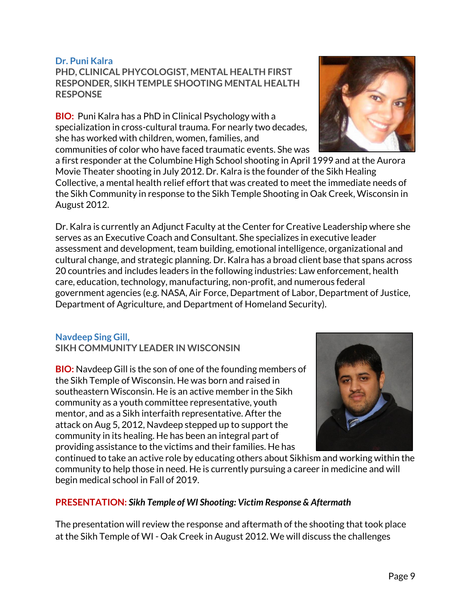#### **Dr. Puni Kalra**

**PHD, CLINICAL PHYCOLOGIST, MENTAL HEALTH FIRST RESPONDER, SIKH TEMPLE SHOOTING MENTAL HEALTH RESPONSE**

**BIO:** Puni Kalra has a PhD in Clinical Psychology with a specialization in cross-cultural trauma. For nearly two decades, she has worked with children, women, families, and communities of color who have faced traumatic events. She was

a first responder at the Columbine High School shooting in April 1999 and at the Aurora Movie Theater shooting in July 2012. Dr. Kalra is the founder of the Sikh Healing Collective, a mental health relief effort that was created to meet the immediate needs of the Sikh Community in response to the Sikh Temple Shooting in Oak Creek, Wisconsin in August 2012.

Dr. Kalra is currently an Adjunct Faculty at the Center for Creative Leadership where she serves as an Executive Coach and Consultant. She specializes in executive leader assessment and development, team building, emotional intelligence, organizational and cultural change, and strategic planning. Dr. Kalra has a broad client base that spans across 20 countries and includes leaders in the following industries: Law enforcement, health care, education, technology, manufacturing, non-profit, and numerous federal government agencies (e.g. NASA, Air Force, Department of Labor, Department of Justice, Department of Agriculture, and Department of Homeland Security).

#### **Navdeep Sing Gill,**

**SIKH COMMUNITY LEADER IN WISCONSIN** 

**BIO:** Navdeep Gill is the son of one of the founding members of the Sikh Temple of Wisconsin. He was born and raised in southeastern Wisconsin. He is an active member in the Sikh community as a youth committee representative, youth mentor, and as a Sikh interfaith representative. After the attack on Aug 5, 2012, Navdeep stepped up to support the community in its healing. He has been an integral part of providing assistance to the victims and their families. He has

continued to take an active role by educating others about Sikhism and working within the community to help those in need. He is currently pursuing a career in medicine and will begin medical school in Fall of 2019.

#### **PRESENTATION:** *Sikh Temple of WI Shooting: Victim Response & Aftermath*

The presentation will review the response and aftermath of the shooting that took place at the Sikh Temple of WI - Oak Creek in August 2012. We will discuss the challenges



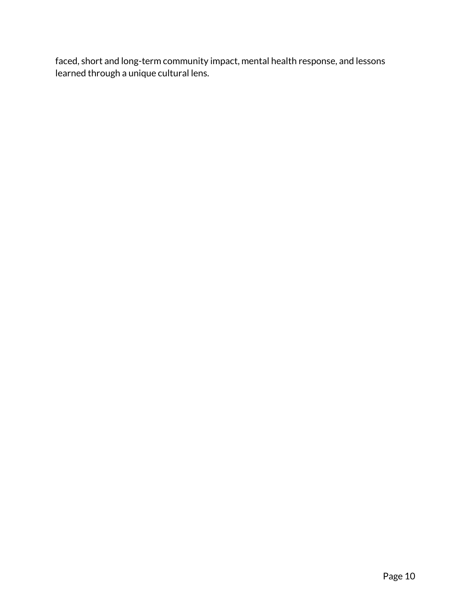faced, short and long-term community impact, mental health response, and lessons learned through a unique cultural lens.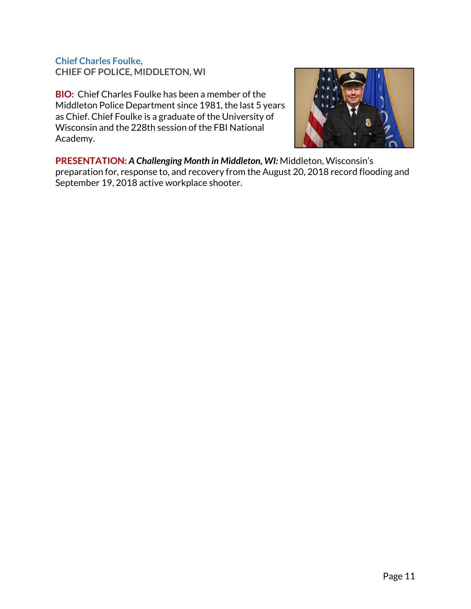#### **Chief Charles Foulke, CHIEF OF POLICE, MIDDLETON, WI**

**BIO:** Chief Charles Foulke has been a member of the Middleton Police Department since 1981, the last 5 years as Chief. Chief Foulke is a graduate of the University of Wisconsin and the 228th session of the FBI National Academy.



**PRESENTATION:** *A Challenging Month in Middleton, WI:* Middleton, Wisconsin's preparation for, response to, and recovery from the August 20, 2018 record flooding and September 19, 2018 active workplace shooter.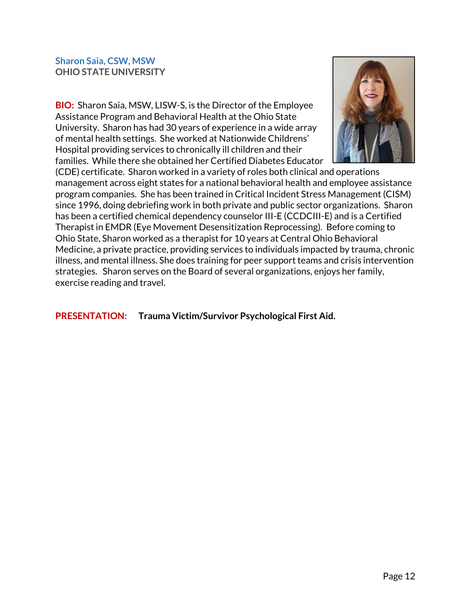#### **Sharon Saia, CSW, MSW OHIO STATE UNIVERSITY**

**BIO:** Sharon Saia, MSW, LISW-S, is the Director of the Employee Assistance Program and Behavioral Health at the Ohio State University. Sharon has had 30 years of experience in a wide array of mental health settings. She worked at Nationwide Childrens' Hospital providing services to chronically ill children and their families. While there she obtained her Certified Diabetes Educator



(CDE) certificate. Sharon worked in a variety of roles both clinical and operations management across eight states for a national behavioral health and employee assistance program companies. She has been trained in Critical Incident Stress Management (CISM) since 1996, doing debriefing work in both private and public sector organizations. Sharon has been a certified chemical dependency counselor III-E (CCDCIII-E) and is a Certified Therapist in EMDR (Eye Movement Desensitization Reprocessing). Before coming to Ohio State, Sharon worked as a therapist for 10 years at Central Ohio Behavioral Medicine, a private practice, providing services to individuals impacted by trauma, chronic illness, and mental illness. She does training for peer support teams and crisis intervention strategies. Sharon serves on the Board of several organizations, enjoys her family, exercise reading and travel.

**PRESENTATION: Trauma Victim/Survivor Psychological First Aid.**